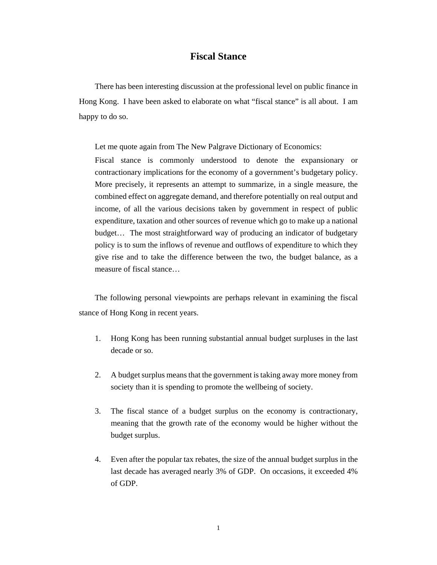## **Fiscal Stance**

There has been interesting discussion at the professional level on public finance in Hong Kong. I have been asked to elaborate on what "fiscal stance" is all about. I am happy to do so.

Let me quote again from The New Palgrave Dictionary of Economics:

Fiscal stance is commonly understood to denote the expansionary or contractionary implications for the economy of a government's budgetary policy. More precisely, it represents an attempt to summarize, in a single measure, the combined effect on aggregate demand, and therefore potentially on real output and income, of all the various decisions taken by government in respect of public expenditure, taxation and other sources of revenue which go to make up a national budget… The most straightforward way of producing an indicator of budgetary policy is to sum the inflows of revenue and outflows of expenditure to which they give rise and to take the difference between the two, the budget balance, as a measure of fiscal stance…

The following personal viewpoints are perhaps relevant in examining the fiscal stance of Hong Kong in recent years.

- 1. Hong Kong has been running substantial annual budget surpluses in the last decade or so.
- 2. A budget surplus means that the government is taking away more money from society than it is spending to promote the wellbeing of society.
- 3. The fiscal stance of a budget surplus on the economy is contractionary, meaning that the growth rate of the economy would be higher without the budget surplus.
- 4. Even after the popular tax rebates, the size of the annual budget surplus in the last decade has averaged nearly 3% of GDP. On occasions, it exceeded 4% of GDP.